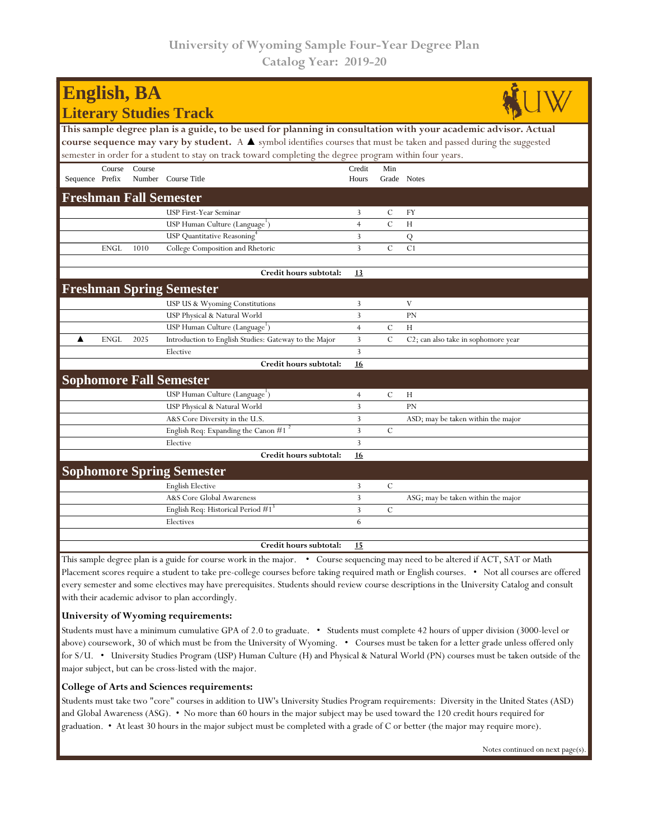| <b>English, BA</b>                                                                                                                   |                |               |                                                  |  |  |  |  |  |  |
|--------------------------------------------------------------------------------------------------------------------------------------|----------------|---------------|--------------------------------------------------|--|--|--|--|--|--|
| <b>Literary Studies Track</b>                                                                                                        |                |               |                                                  |  |  |  |  |  |  |
| This sample degree plan is a guide, to be used for planning in consultation with your academic advisor. Actual                       |                |               |                                                  |  |  |  |  |  |  |
| course sequence may vary by student. A $\blacktriangle$ symbol identifies courses that must be taken and passed during the suggested |                |               |                                                  |  |  |  |  |  |  |
| semester in order for a student to stay on track toward completing the degree program within four years.                             |                |               |                                                  |  |  |  |  |  |  |
| Course<br>Course                                                                                                                     | Credit         | Min           |                                                  |  |  |  |  |  |  |
| Sequence Prefix<br>Number Course Title                                                                                               | Hours          | Grade Notes   |                                                  |  |  |  |  |  |  |
| <b>Freshman Fall Semester</b>                                                                                                        |                |               |                                                  |  |  |  |  |  |  |
| USP First-Year Seminar                                                                                                               | 3              | $\mathcal{C}$ | FY                                               |  |  |  |  |  |  |
| USP Human Culture (Language <sup>1</sup> )                                                                                           | $\overline{4}$ | $\mathcal{C}$ | H                                                |  |  |  |  |  |  |
| USP Quantitative Reasoning                                                                                                           | 3              |               | Q                                                |  |  |  |  |  |  |
| <b>ENGL</b><br>1010<br>College Composition and Rhetoric                                                                              | $\overline{3}$ | $\mathcal{C}$ | C1                                               |  |  |  |  |  |  |
| Credit hours subtotal:                                                                                                               | 13             |               |                                                  |  |  |  |  |  |  |
|                                                                                                                                      |                |               |                                                  |  |  |  |  |  |  |
| <b>Freshman Spring Semester</b>                                                                                                      |                |               |                                                  |  |  |  |  |  |  |
| USP US & Wyoming Constitutions                                                                                                       | 3              |               | V                                                |  |  |  |  |  |  |
| USP Physical & Natural World                                                                                                         | 3              |               | PN                                               |  |  |  |  |  |  |
| USP Human Culture (Language <sup>1</sup> )                                                                                           | $\overline{4}$ | $\mathcal{C}$ | H                                                |  |  |  |  |  |  |
| <b>ENGL</b><br>2025<br>▲<br>Introduction to English Studies: Gateway to the Major                                                    | 3              | $\mathcal{C}$ | C <sub>2</sub> ; can also take in sophomore year |  |  |  |  |  |  |
| Elective                                                                                                                             | $\overline{3}$ |               |                                                  |  |  |  |  |  |  |
| Credit hours subtotal:                                                                                                               | 16             |               |                                                  |  |  |  |  |  |  |
| <b>Sophomore Fall Semester</b>                                                                                                       |                |               |                                                  |  |  |  |  |  |  |
| USP Human Culture (Language')                                                                                                        | $\overline{4}$ | $\mathcal{C}$ | H                                                |  |  |  |  |  |  |
| USP Physical & Natural World                                                                                                         | 3              |               | PN                                               |  |  |  |  |  |  |
| A&S Core Diversity in the U.S.                                                                                                       | 3              |               | ASD; may be taken within the major               |  |  |  |  |  |  |
| English Req: Expanding the Canon $#1$ <sup>2</sup>                                                                                   | $\overline{3}$ | $\mathcal{C}$ |                                                  |  |  |  |  |  |  |
| Elective                                                                                                                             | $\overline{3}$ |               |                                                  |  |  |  |  |  |  |
| Credit hours subtotal:                                                                                                               | 16             |               |                                                  |  |  |  |  |  |  |
| <b>Sophomore Spring Semester</b>                                                                                                     |                |               |                                                  |  |  |  |  |  |  |
| <b>English Elective</b>                                                                                                              | 3              | $\mathcal{C}$ |                                                  |  |  |  |  |  |  |
| A&S Core Global Awareness                                                                                                            | $\overline{3}$ |               | ASG; may be taken within the major               |  |  |  |  |  |  |
| English Req: Historical Period #1 <sup>3</sup>                                                                                       | $\mathbf{3}$   | $\mathcal{C}$ |                                                  |  |  |  |  |  |  |
| Electives                                                                                                                            | 6              |               |                                                  |  |  |  |  |  |  |
| Credit hours subtotal:                                                                                                               | 15             |               |                                                  |  |  |  |  |  |  |
|                                                                                                                                      |                |               |                                                  |  |  |  |  |  |  |

Placement scores require a student to take pre-college courses before taking required math or English courses. • Not all courses are offered every semester and some electives may have prerequisites. Students should review course descriptions in the University Catalog and consult with their academic advisor to plan accordingly.

## **University of Wyoming requirements:**

Students must have a minimum cumulative GPA of 2.0 to graduate. • Students must complete 42 hours of upper division (3000-level or above) coursework, 30 of which must be from the University of Wyoming. • Courses must be taken for a letter grade unless offered only for S/U. • University Studies Program (USP) Human Culture (H) and Physical & Natural World (PN) courses must be taken outside of the major subject, but can be cross-listed with the major.

## **College of Arts and Sciences requirements:**

Students must take two "core" courses in addition to UW's University Studies Program requirements: Diversity in the United States (ASD) and Global Awareness (ASG). • No more than 60 hours in the major subject may be used toward the 120 credit hours required for graduation. • At least 30 hours in the major subject must be completed with a grade of C or better (the major may require more).